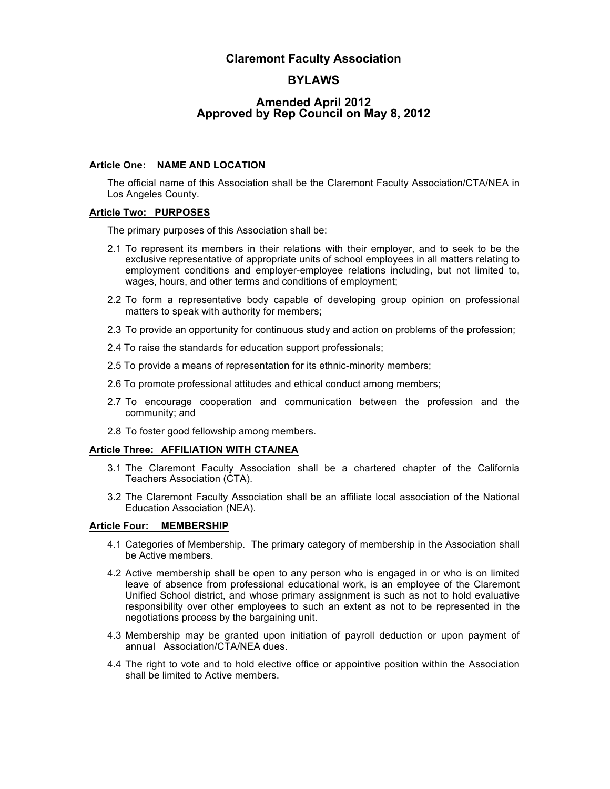# **Claremont Faculty Association**

# **BYLAWS**

# **Amended April 2012 Approved by Rep Council on May 8, 2012**

# **Article One: NAME AND LOCATION**

The official name of this Association shall be the Claremont Faculty Association/CTA/NEA in Los Angeles County.

### **Article Two: PURPOSES**

The primary purposes of this Association shall be:

- 2.1 To represent its members in their relations with their employer, and to seek to be the exclusive representative of appropriate units of school employees in all matters relating to employment conditions and employer-employee relations including, but not limited to, wages, hours, and other terms and conditions of employment;
- 2.2 To form a representative body capable of developing group opinion on professional matters to speak with authority for members;
- 2.3 To provide an opportunity for continuous study and action on problems of the profession;
- 2.4 To raise the standards for education support professionals;
- 2.5 To provide a means of representation for its ethnic-minority members;
- 2.6 To promote professional attitudes and ethical conduct among members;
- 2.7 To encourage cooperation and communication between the profession and the community; and
- 2.8 To foster good fellowship among members.

### **Article Three: AFFILIATION WITH CTA/NEA**

- 3.1 The Claremont Faculty Association shall be a chartered chapter of the California Teachers Association (CTA).
- 3.2 The Claremont Faculty Association shall be an affiliate local association of the National Education Association (NEA).

### **Article Four: MEMBERSHIP**

- 4.1 Categories of Membership. The primary category of membership in the Association shall be Active members.
- 4.2 Active membership shall be open to any person who is engaged in or who is on limited leave of absence from professional educational work, is an employee of the Claremont Unified School district, and whose primary assignment is such as not to hold evaluative responsibility over other employees to such an extent as not to be represented in the negotiations process by the bargaining unit.
- 4.3 Membership may be granted upon initiation of payroll deduction or upon payment of annual Association/CTA/NEA dues.
- 4.4 The right to vote and to hold elective office or appointive position within the Association shall be limited to Active members.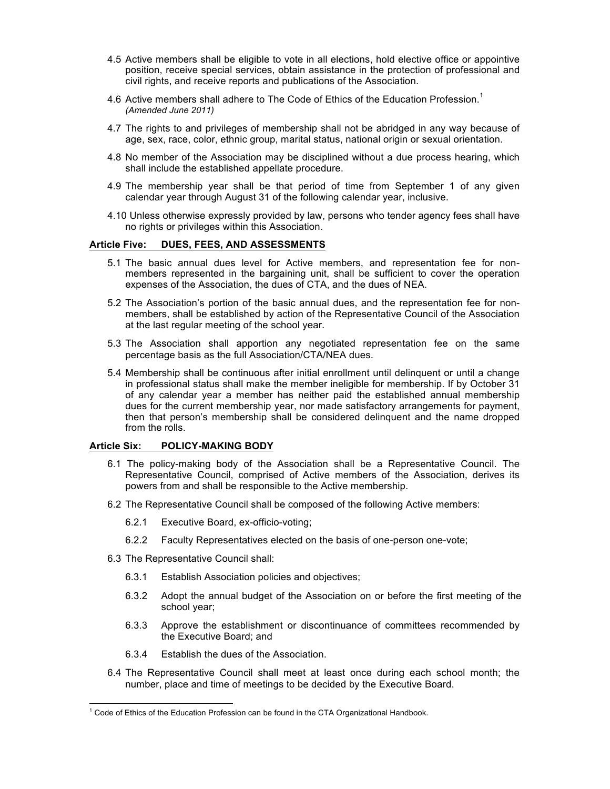- 4.5 Active members shall be eligible to vote in all elections, hold elective office or appointive position, receive special services, obtain assistance in the protection of professional and civil rights, and receive reports and publications of the Association.
- 4.6 Active members shall adhere to The Code of Ethics of the Education Profession.<sup>1</sup> *(Amended June 2011)*
- 4.7 The rights to and privileges of membership shall not be abridged in any way because of age, sex, race, color, ethnic group, marital status, national origin or sexual orientation.
- 4.8 No member of the Association may be disciplined without a due process hearing, which shall include the established appellate procedure.
- 4.9 The membership year shall be that period of time from September 1 of any given calendar year through August 31 of the following calendar year, inclusive.
- 4.10 Unless otherwise expressly provided by law, persons who tender agency fees shall have no rights or privileges within this Association.

### **Article Five: DUES, FEES, AND ASSESSMENTS**

- 5.1 The basic annual dues level for Active members, and representation fee for nonmembers represented in the bargaining unit, shall be sufficient to cover the operation expenses of the Association, the dues of CTA, and the dues of NEA.
- 5.2 The Association's portion of the basic annual dues, and the representation fee for nonmembers, shall be established by action of the Representative Council of the Association at the last regular meeting of the school year.
- 5.3 The Association shall apportion any negotiated representation fee on the same percentage basis as the full Association/CTA/NEA dues.
- 5.4 Membership shall be continuous after initial enrollment until delinquent or until a change in professional status shall make the member ineligible for membership. If by October 31 of any calendar year a member has neither paid the established annual membership dues for the current membership year, nor made satisfactory arrangements for payment, then that person's membership shall be considered delinquent and the name dropped from the rolls.

### **Article Six: POLICY-MAKING BODY**

- 6.1 The policy-making body of the Association shall be a Representative Council. The Representative Council, comprised of Active members of the Association, derives its powers from and shall be responsible to the Active membership.
- 6.2 The Representative Council shall be composed of the following Active members:
	- 6.2.1 Executive Board, ex-officio-voting;
	- 6.2.2 Faculty Representatives elected on the basis of one-person one-vote;
- 6.3 The Representative Council shall:
	- 6.3.1 Establish Association policies and objectives;
	- 6.3.2 Adopt the annual budget of the Association on or before the first meeting of the school year;
	- 6.3.3 Approve the establishment or discontinuance of committees recommended by the Executive Board; and
	- 6.3.4 Establish the dues of the Association.
- 6.4 The Representative Council shall meet at least once during each school month; the number, place and time of meetings to be decided by the Executive Board.

 $1$  Code of Ethics of the Education Profession can be found in the CTA Organizational Handbook.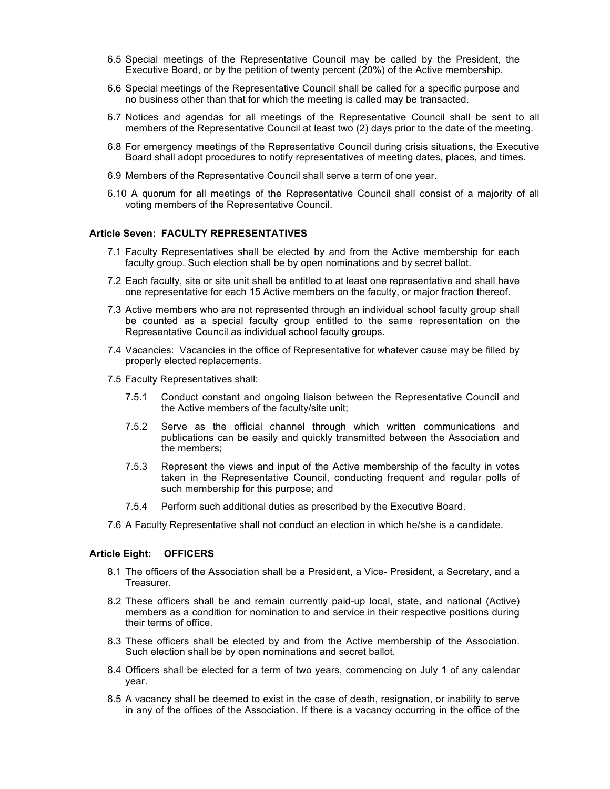- 6.5 Special meetings of the Representative Council may be called by the President, the Executive Board, or by the petition of twenty percent (20%) of the Active membership.
- 6.6 Special meetings of the Representative Council shall be called for a specific purpose and no business other than that for which the meeting is called may be transacted.
- 6.7 Notices and agendas for all meetings of the Representative Council shall be sent to all members of the Representative Council at least two (2) days prior to the date of the meeting.
- 6.8 For emergency meetings of the Representative Council during crisis situations, the Executive Board shall adopt procedures to notify representatives of meeting dates, places, and times.
- 6.9 Members of the Representative Council shall serve a term of one year.
- 6.10 A quorum for all meetings of the Representative Council shall consist of a majority of all voting members of the Representative Council.

### **Article Seven: FACULTY REPRESENTATIVES**

- 7.1 Faculty Representatives shall be elected by and from the Active membership for each faculty group. Such election shall be by open nominations and by secret ballot.
- 7.2 Each faculty, site or site unit shall be entitled to at least one representative and shall have one representative for each 15 Active members on the faculty, or major fraction thereof.
- 7.3 Active members who are not represented through an individual school faculty group shall be counted as a special faculty group entitled to the same representation on the Representative Council as individual school faculty groups.
- 7.4 Vacancies: Vacancies in the office of Representative for whatever cause may be filled by properly elected replacements.
- 7.5 Faculty Representatives shall:
	- 7.5.1 Conduct constant and ongoing liaison between the Representative Council and the Active members of the faculty/site unit;
	- 7.5.2 Serve as the official channel through which written communications and publications can be easily and quickly transmitted between the Association and the members;
	- 7.5.3 Represent the views and input of the Active membership of the faculty in votes taken in the Representative Council, conducting frequent and regular polls of such membership for this purpose; and
	- 7.5.4 Perform such additional duties as prescribed by the Executive Board.
- 7.6 A Faculty Representative shall not conduct an election in which he/she is a candidate.

### **Article Eight: OFFICERS**

- 8.1 The officers of the Association shall be a President, a Vice- President, a Secretary, and a Treasurer.
- 8.2 These officers shall be and remain currently paid-up local, state, and national (Active) members as a condition for nomination to and service in their respective positions during their terms of office.
- 8.3 These officers shall be elected by and from the Active membership of the Association. Such election shall be by open nominations and secret ballot.
- 8.4 Officers shall be elected for a term of two years, commencing on July 1 of any calendar year.
- 8.5 A vacancy shall be deemed to exist in the case of death, resignation, or inability to serve in any of the offices of the Association. If there is a vacancy occurring in the office of the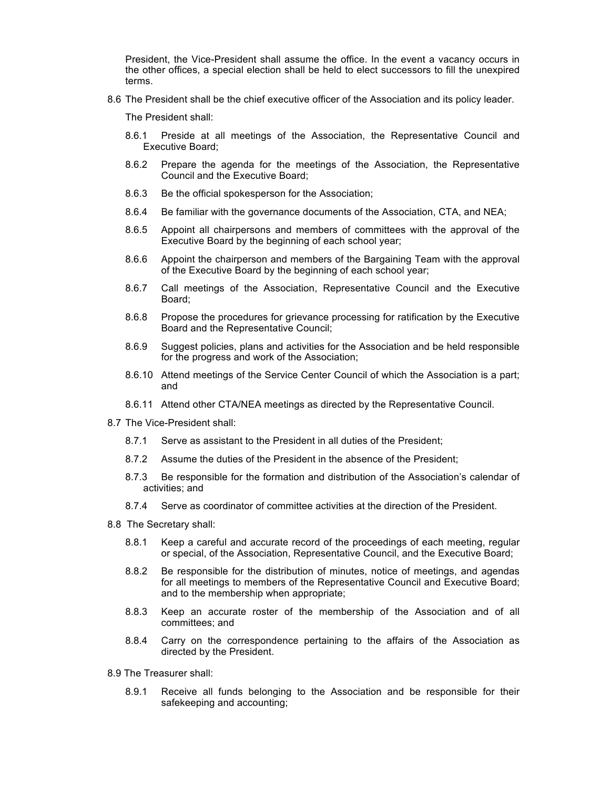President, the Vice-President shall assume the office. In the event a vacancy occurs in the other offices, a special election shall be held to elect successors to fill the unexpired terms.

8.6 The President shall be the chief executive officer of the Association and its policy leader.

The President shall:

- 8.6.1 Preside at all meetings of the Association, the Representative Council and Executive Board;
- 8.6.2 Prepare the agenda for the meetings of the Association, the Representative Council and the Executive Board;
- 8.6.3 Be the official spokesperson for the Association;
- 8.6.4 Be familiar with the governance documents of the Association, CTA, and NEA;
- 8.6.5 Appoint all chairpersons and members of committees with the approval of the Executive Board by the beginning of each school year;
- 8.6.6 Appoint the chairperson and members of the Bargaining Team with the approval of the Executive Board by the beginning of each school year;
- 8.6.7 Call meetings of the Association, Representative Council and the Executive Board;
- 8.6.8 Propose the procedures for grievance processing for ratification by the Executive Board and the Representative Council;
- 8.6.9 Suggest policies, plans and activities for the Association and be held responsible for the progress and work of the Association;
- 8.6.10 Attend meetings of the Service Center Council of which the Association is a part; and
- 8.6.11 Attend other CTA/NEA meetings as directed by the Representative Council.
- 8.7 The Vice-President shall:
	- 8.7.1 Serve as assistant to the President in all duties of the President;
	- 8.7.2 Assume the duties of the President in the absence of the President;
	- 8.7.3 Be responsible for the formation and distribution of the Association's calendar of activities; and
	- 8.7.4 Serve as coordinator of committee activities at the direction of the President.
- 8.8 The Secretary shall:
	- 8.8.1 Keep a careful and accurate record of the proceedings of each meeting, regular or special, of the Association, Representative Council, and the Executive Board;
	- 8.8.2 Be responsible for the distribution of minutes, notice of meetings, and agendas for all meetings to members of the Representative Council and Executive Board; and to the membership when appropriate;
	- 8.8.3 Keep an accurate roster of the membership of the Association and of all committees; and
	- 8.8.4 Carry on the correspondence pertaining to the affairs of the Association as directed by the President.
- 8.9 The Treasurer shall:
	- 8.9.1 Receive all funds belonging to the Association and be responsible for their safekeeping and accounting;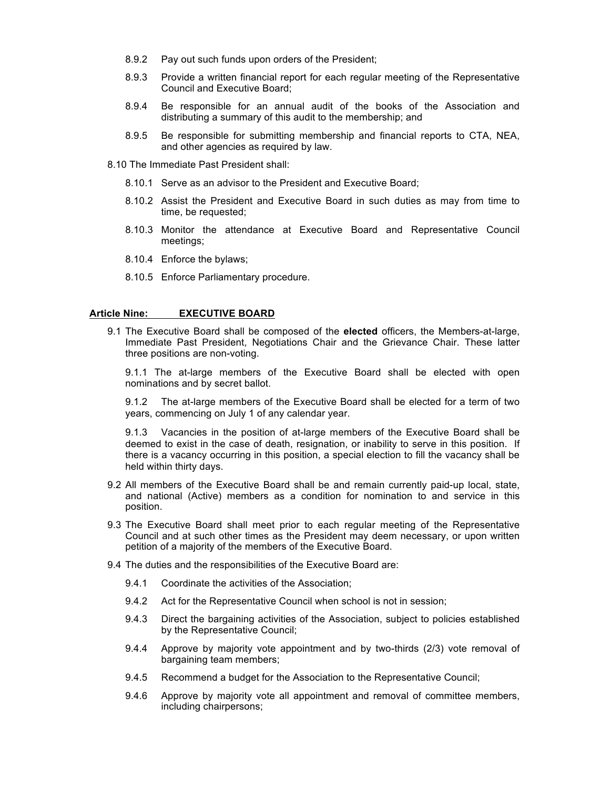- 8.9.2 Pay out such funds upon orders of the President;
- 8.9.3 Provide a written financial report for each regular meeting of the Representative Council and Executive Board;
- 8.9.4 Be responsible for an annual audit of the books of the Association and distributing a summary of this audit to the membership; and
- 8.9.5 Be responsible for submitting membership and financial reports to CTA, NEA, and other agencies as required by law.
- 8.10 The Immediate Past President shall:
	- 8.10.1 Serve as an advisor to the President and Executive Board;
	- 8.10.2 Assist the President and Executive Board in such duties as may from time to time, be requested;
	- 8.10.3 Monitor the attendance at Executive Board and Representative Council meetings;
	- 8.10.4 Enforce the bylaws;
	- 8.10.5 Enforce Parliamentary procedure.

### **Article Nine: EXECUTIVE BOARD**

9.1 The Executive Board shall be composed of the **elected** officers, the Members-at-large, Immediate Past President, Negotiations Chair and the Grievance Chair. These latter three positions are non-voting.

9.1.1 The at-large members of the Executive Board shall be elected with open nominations and by secret ballot.

9.1.2 The at-large members of the Executive Board shall be elected for a term of two years, commencing on July 1 of any calendar year.

9.1.3 Vacancies in the position of at-large members of the Executive Board shall be deemed to exist in the case of death, resignation, or inability to serve in this position. If there is a vacancy occurring in this position, a special election to fill the vacancy shall be held within thirty days.

- 9.2 All members of the Executive Board shall be and remain currently paid-up local, state, and national (Active) members as a condition for nomination to and service in this position.
- 9.3 The Executive Board shall meet prior to each regular meeting of the Representative Council and at such other times as the President may deem necessary, or upon written petition of a majority of the members of the Executive Board.
- 9.4 The duties and the responsibilities of the Executive Board are:
	- 9.4.1 Coordinate the activities of the Association;
	- 9.4.2 Act for the Representative Council when school is not in session;
	- 9.4.3 Direct the bargaining activities of the Association, subject to policies established by the Representative Council;
	- 9.4.4 Approve by majority vote appointment and by two-thirds (2/3) vote removal of bargaining team members;
	- 9.4.5 Recommend a budget for the Association to the Representative Council;
	- 9.4.6 Approve by majority vote all appointment and removal of committee members, including chairpersons;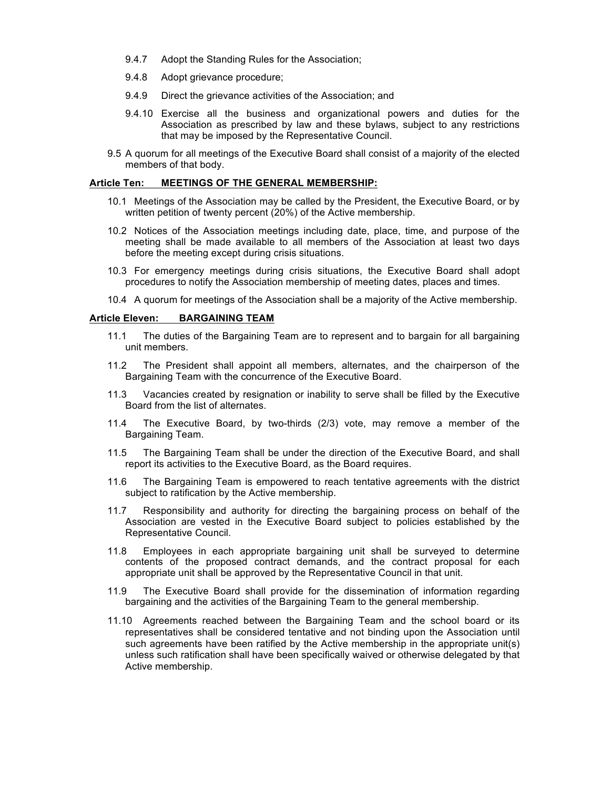- 9.4.7 Adopt the Standing Rules for the Association;
- 9.4.8 Adopt grievance procedure;
- 9.4.9 Direct the grievance activities of the Association; and
- 9.4.10 Exercise all the business and organizational powers and duties for the Association as prescribed by law and these bylaws, subject to any restrictions that may be imposed by the Representative Council.
- 9.5 A quorum for all meetings of the Executive Board shall consist of a majority of the elected members of that body.

#### **Article Ten: MEETINGS OF THE GENERAL MEMBERSHIP:**

- 10.1 Meetings of the Association may be called by the President, the Executive Board, or by written petition of twenty percent (20%) of the Active membership.
- 10.2 Notices of the Association meetings including date, place, time, and purpose of the meeting shall be made available to all members of the Association at least two days before the meeting except during crisis situations.
- 10.3 For emergency meetings during crisis situations, the Executive Board shall adopt procedures to notify the Association membership of meeting dates, places and times.
- 10.4 A quorum for meetings of the Association shall be a majority of the Active membership.

#### **Article Eleven: BARGAINING TEAM**

- 11.1 The duties of the Bargaining Team are to represent and to bargain for all bargaining unit members.
- 11.2 The President shall appoint all members, alternates, and the chairperson of the Bargaining Team with the concurrence of the Executive Board.
- 11.3 Vacancies created by resignation or inability to serve shall be filled by the Executive Board from the list of alternates.
- 11.4 The Executive Board, by two-thirds (2/3) vote, may remove a member of the Bargaining Team.
- 11.5 The Bargaining Team shall be under the direction of the Executive Board, and shall report its activities to the Executive Board, as the Board requires.
- 11.6 The Bargaining Team is empowered to reach tentative agreements with the district subject to ratification by the Active membership.
- 11.7 Responsibility and authority for directing the bargaining process on behalf of the Association are vested in the Executive Board subject to policies established by the Representative Council.
- 11.8 Employees in each appropriate bargaining unit shall be surveyed to determine contents of the proposed contract demands, and the contract proposal for each appropriate unit shall be approved by the Representative Council in that unit.
- 11.9 The Executive Board shall provide for the dissemination of information regarding bargaining and the activities of the Bargaining Team to the general membership.
- 11.10 Agreements reached between the Bargaining Team and the school board or its representatives shall be considered tentative and not binding upon the Association until such agreements have been ratified by the Active membership in the appropriate unit(s) unless such ratification shall have been specifically waived or otherwise delegated by that Active membership.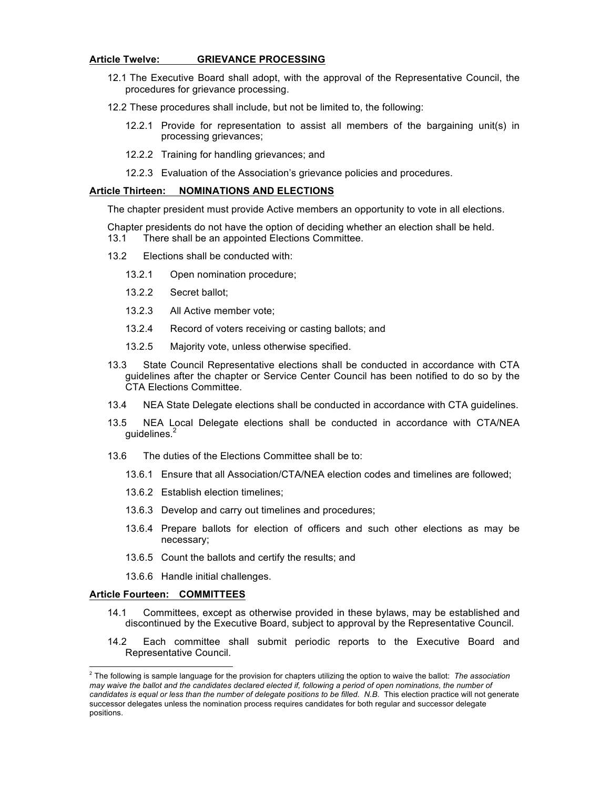### **Article Twelve: GRIEVANCE PROCESSING**

- 12.1 The Executive Board shall adopt, with the approval of the Representative Council, the procedures for grievance processing.
- 12.2 These procedures shall include, but not be limited to, the following:
	- 12.2.1 Provide for representation to assist all members of the bargaining unit(s) in processing grievances;
	- 12.2.2 Training for handling grievances; and
	- 12.2.3 Evaluation of the Association's grievance policies and procedures.

### **Article Thirteen: NOMINATIONS AND ELECTIONS**

The chapter president must provide Active members an opportunity to vote in all elections.

- Chapter presidents do not have the option of deciding whether an election shall be held.
- 13.1 There shall be an appointed Elections Committee.
- 13.2 Elections shall be conducted with:
	- 13.2.1 Open nomination procedure;
	- 13.2.2 Secret ballot;
	- 13.2.3 All Active member vote;
	- 13.2.4 Record of voters receiving or casting ballots; and
	- 13.2.5 Majority vote, unless otherwise specified.
- 13.3 State Council Representative elections shall be conducted in accordance with CTA guidelines after the chapter or Service Center Council has been notified to do so by the CTA Elections Committee.
- 13.4 NEA State Delegate elections shall be conducted in accordance with CTA guidelines.
- 13.5 NEA Local Delegate elections shall be conducted in accordance with CTA/NEA quidelines.<sup>2</sup>
- 13.6 The duties of the Elections Committee shall be to:
	- 13.6.1 Ensure that all Association/CTA/NEA election codes and timelines are followed;
	- 13.6.2 Establish election timelines;
	- 13.6.3 Develop and carry out timelines and procedures;
	- 13.6.4 Prepare ballots for election of officers and such other elections as may be necessary;
	- 13.6.5 Count the ballots and certify the results; and
	- 13.6.6 Handle initial challenges.

#### **Article Fourteen: COMMITTEES**

- 14.1 Committees, except as otherwise provided in these bylaws, may be established and discontinued by the Executive Board, subject to approval by the Representative Council.
- 14.2 Each committee shall submit periodic reports to the Executive Board and Representative Council.

 <sup>2</sup> The following is sample language for the provision for chapters utilizing the option to waive the ballot: *The association may waive the ballot and the candidates declared elected if, following a period of open nominations, the number of candidates is equal or less than the number of delegate positions to be filled. N.B*. This election practice will not generate successor delegates unless the nomination process requires candidates for both regular and successor delegate positions.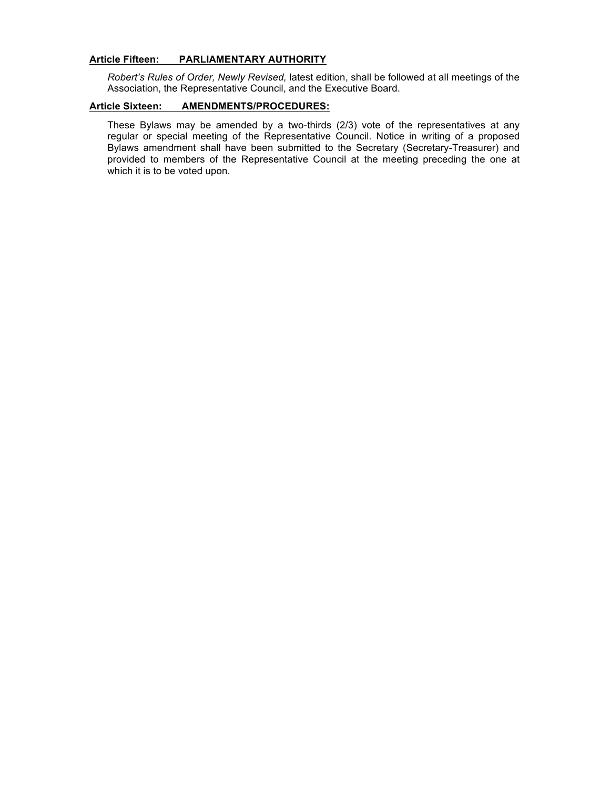# **Article Fifteen: PARLIAMENTARY AUTHORITY**

*Robert's Rules of Order, Newly Revised,* latest edition, shall be followed at all meetings of the Association, the Representative Council, and the Executive Board.

# **Article Sixteen: AMENDMENTS/PROCEDURES:**

These Bylaws may be amended by a two-thirds (2/3) vote of the representatives at any regular or special meeting of the Representative Council. Notice in writing of a proposed Bylaws amendment shall have been submitted to the Secretary (Secretary-Treasurer) and provided to members of the Representative Council at the meeting preceding the one at which it is to be voted upon.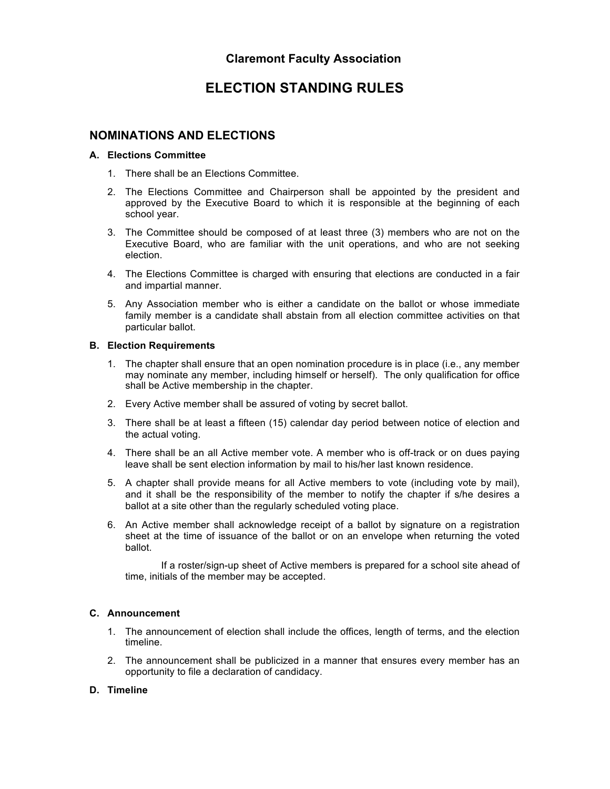# **ELECTION STANDING RULES**

# **NOMINATIONS AND ELECTIONS**

# **A. Elections Committee**

- 1. There shall be an Elections Committee.
- 2. The Elections Committee and Chairperson shall be appointed by the president and approved by the Executive Board to which it is responsible at the beginning of each school year.
- 3. The Committee should be composed of at least three (3) members who are not on the Executive Board, who are familiar with the unit operations, and who are not seeking election.
- 4. The Elections Committee is charged with ensuring that elections are conducted in a fair and impartial manner.
- 5. Any Association member who is either a candidate on the ballot or whose immediate family member is a candidate shall abstain from all election committee activities on that particular ballot.

# **B. Election Requirements**

- 1. The chapter shall ensure that an open nomination procedure is in place (i.e., any member may nominate any member, including himself or herself). The only qualification for office shall be Active membership in the chapter.
- 2. Every Active member shall be assured of voting by secret ballot.
- 3. There shall be at least a fifteen (15) calendar day period between notice of election and the actual voting.
- 4. There shall be an all Active member vote. A member who is off-track or on dues paying leave shall be sent election information by mail to his/her last known residence.
- 5. A chapter shall provide means for all Active members to vote (including vote by mail), and it shall be the responsibility of the member to notify the chapter if s/he desires a ballot at a site other than the regularly scheduled voting place.
- 6. An Active member shall acknowledge receipt of a ballot by signature on a registration sheet at the time of issuance of the ballot or on an envelope when returning the voted ballot.

If a roster/sign-up sheet of Active members is prepared for a school site ahead of time, initials of the member may be accepted.

# **C. Announcement**

- 1. The announcement of election shall include the offices, length of terms, and the election timeline.
- 2. The announcement shall be publicized in a manner that ensures every member has an opportunity to file a declaration of candidacy.

# **D. Timeline**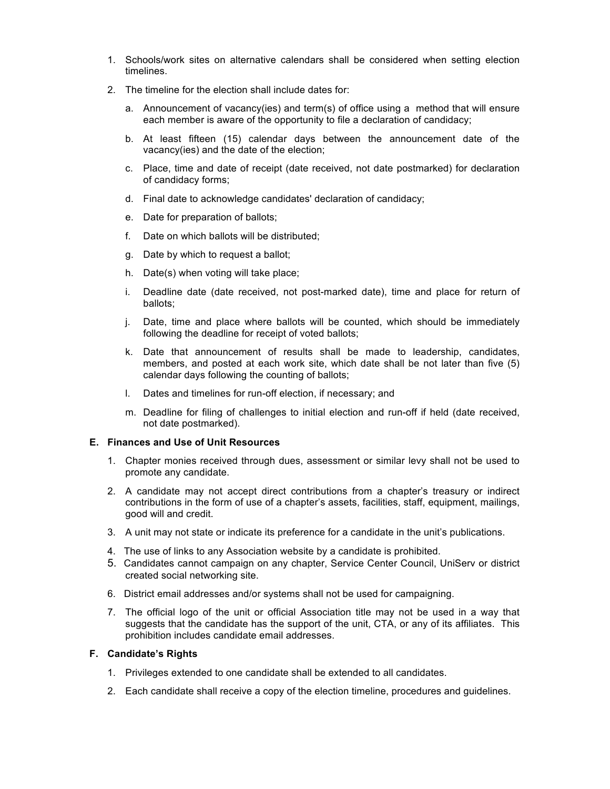- 1. Schools/work sites on alternative calendars shall be considered when setting election timelines.
- 2. The timeline for the election shall include dates for:
	- a. Announcement of vacancy(ies) and term(s) of office using a method that will ensure each member is aware of the opportunity to file a declaration of candidacy;
	- b. At least fifteen (15) calendar days between the announcement date of the vacancy(ies) and the date of the election;
	- c. Place, time and date of receipt (date received, not date postmarked) for declaration of candidacy forms;
	- d. Final date to acknowledge candidates' declaration of candidacy;
	- e. Date for preparation of ballots;
	- f. Date on which ballots will be distributed;
	- g. Date by which to request a ballot;
	- h. Date(s) when voting will take place;
	- i. Deadline date (date received, not post-marked date), time and place for return of ballots;
	- j. Date, time and place where ballots will be counted, which should be immediately following the deadline for receipt of voted ballots;
	- k. Date that announcement of results shall be made to leadership, candidates, members, and posted at each work site, which date shall be not later than five (5) calendar days following the counting of ballots;
	- l. Dates and timelines for run-off election, if necessary; and
	- m. Deadline for filing of challenges to initial election and run-off if held (date received, not date postmarked).

# **E. Finances and Use of Unit Resources**

- 1. Chapter monies received through dues, assessment or similar levy shall not be used to promote any candidate.
- 2. A candidate may not accept direct contributions from a chapter's treasury or indirect contributions in the form of use of a chapter's assets, facilities, staff, equipment, mailings, good will and credit.
- 3. A unit may not state or indicate its preference for a candidate in the unit's publications.
- 4. The use of links to any Association website by a candidate is prohibited.
- 5. Candidates cannot campaign on any chapter, Service Center Council, UniServ or district created social networking site.
- 6. District email addresses and/or systems shall not be used for campaigning.
- 7. The official logo of the unit or official Association title may not be used in a way that suggests that the candidate has the support of the unit, CTA, or any of its affiliates. This prohibition includes candidate email addresses.

# **F. Candidate's Rights**

- 1. Privileges extended to one candidate shall be extended to all candidates.
- 2. Each candidate shall receive a copy of the election timeline, procedures and guidelines.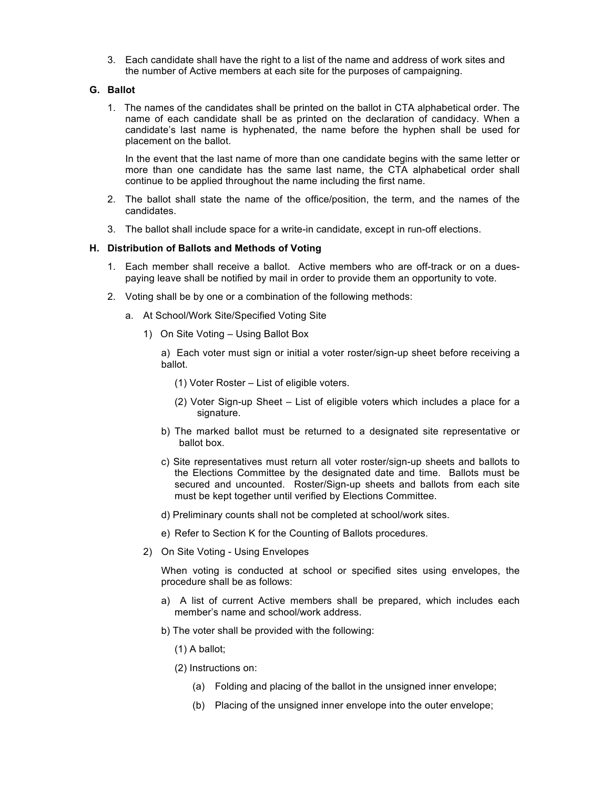3. Each candidate shall have the right to a list of the name and address of work sites and the number of Active members at each site for the purposes of campaigning.

# **G. Ballot**

1. The names of the candidates shall be printed on the ballot in CTA alphabetical order. The name of each candidate shall be as printed on the declaration of candidacy. When a candidate's last name is hyphenated, the name before the hyphen shall be used for placement on the ballot.

In the event that the last name of more than one candidate begins with the same letter or more than one candidate has the same last name, the CTA alphabetical order shall continue to be applied throughout the name including the first name.

- 2. The ballot shall state the name of the office/position, the term, and the names of the candidates.
- 3. The ballot shall include space for a write-in candidate, except in run-off elections.

### **H. Distribution of Ballots and Methods of Voting**

- 1. Each member shall receive a ballot. Active members who are off-track or on a duespaying leave shall be notified by mail in order to provide them an opportunity to vote.
- 2. Voting shall be by one or a combination of the following methods:
	- a. At School/Work Site/Specified Voting Site
		- 1) On Site Voting Using Ballot Box

a) Each voter must sign or initial a voter roster/sign-up sheet before receiving a ballot.

- (1) Voter Roster List of eligible voters.
- (2) Voter Sign-up Sheet List of eligible voters which includes a place for a signature.
- b) The marked ballot must be returned to a designated site representative or ballot box.
- c) Site representatives must return all voter roster/sign-up sheets and ballots to the Elections Committee by the designated date and time. Ballots must be secured and uncounted. Roster/Sign-up sheets and ballots from each site must be kept together until verified by Elections Committee.
- d) Preliminary counts shall not be completed at school/work sites.
- e) Refer to Section K for the Counting of Ballots procedures.
- 2) On Site Voting Using Envelopes

When voting is conducted at school or specified sites using envelopes, the procedure shall be as follows:

- a) A list of current Active members shall be prepared, which includes each member's name and school/work address.
- b) The voter shall be provided with the following:
	- (1) A ballot;
	- (2) Instructions on:
		- (a) Folding and placing of the ballot in the unsigned inner envelope;
		- (b) Placing of the unsigned inner envelope into the outer envelope;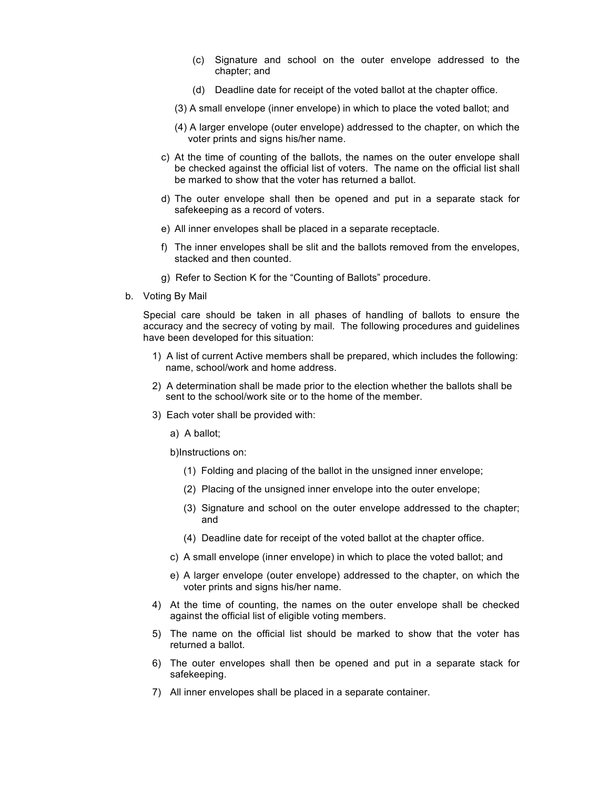- (c) Signature and school on the outer envelope addressed to the chapter; and
- (d) Deadline date for receipt of the voted ballot at the chapter office.
- (3) A small envelope (inner envelope) in which to place the voted ballot; and
- (4) A larger envelope (outer envelope) addressed to the chapter, on which the voter prints and signs his/her name.
- c) At the time of counting of the ballots, the names on the outer envelope shall be checked against the official list of voters. The name on the official list shall be marked to show that the voter has returned a ballot.
- d) The outer envelope shall then be opened and put in a separate stack for safekeeping as a record of voters.
- e) All inner envelopes shall be placed in a separate receptacle.
- f) The inner envelopes shall be slit and the ballots removed from the envelopes, stacked and then counted.
- g) Refer to Section K for the "Counting of Ballots" procedure.
- b. Voting By Mail

Special care should be taken in all phases of handling of ballots to ensure the accuracy and the secrecy of voting by mail. The following procedures and guidelines have been developed for this situation:

- 1) A list of current Active members shall be prepared, which includes the following: name, school/work and home address.
- 2) A determination shall be made prior to the election whether the ballots shall be sent to the school/work site or to the home of the member.
- 3) Each voter shall be provided with:
	- a) A ballot;

b)Instructions on:

- (1) Folding and placing of the ballot in the unsigned inner envelope;
- (2) Placing of the unsigned inner envelope into the outer envelope;
- (3) Signature and school on the outer envelope addressed to the chapter; and
- (4) Deadline date for receipt of the voted ballot at the chapter office.
- c) A small envelope (inner envelope) in which to place the voted ballot; and
- e) A larger envelope (outer envelope) addressed to the chapter, on which the voter prints and signs his/her name.
- 4) At the time of counting, the names on the outer envelope shall be checked against the official list of eligible voting members.
- 5) The name on the official list should be marked to show that the voter has returned a ballot.
- 6) The outer envelopes shall then be opened and put in a separate stack for safekeeping.
- 7) All inner envelopes shall be placed in a separate container.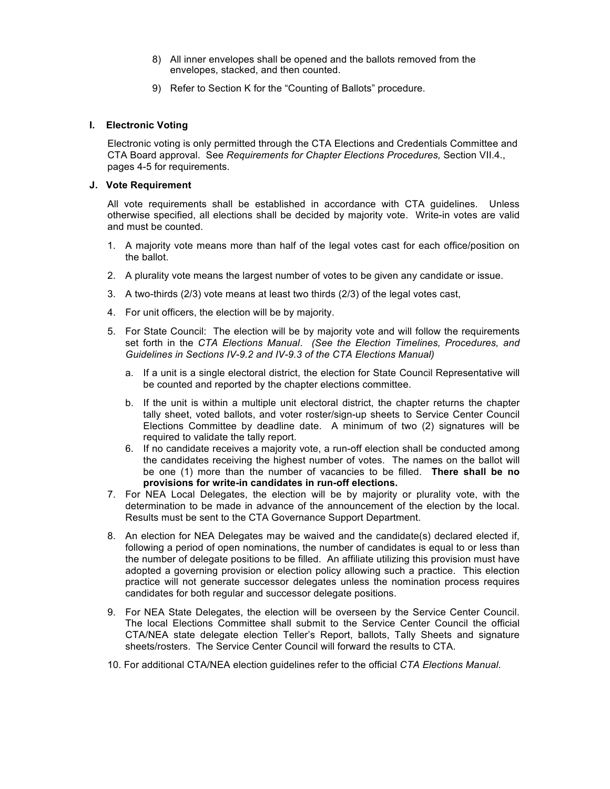- 8) All inner envelopes shall be opened and the ballots removed from the envelopes, stacked, and then counted.
- 9) Refer to Section K for the "Counting of Ballots" procedure.

# **I. Electronic Voting**

Electronic voting is only permitted through the CTA Elections and Credentials Committee and CTA Board approval. See *Requirements for Chapter Elections Procedures,* Section VII.4., pages 4-5 for requirements.

# **J. Vote Requirement**

All vote requirements shall be established in accordance with CTA guidelines. Unless otherwise specified, all elections shall be decided by majority vote. Write-in votes are valid and must be counted.

- 1. A majority vote means more than half of the legal votes cast for each office/position on the ballot.
- 2. A plurality vote means the largest number of votes to be given any candidate or issue.
- 3. A two-thirds (2/3) vote means at least two thirds (2/3) of the legal votes cast,
- 4. For unit officers, the election will be by majority.
- 5. For State Council: The election will be by majority vote and will follow the requirements set forth in the *CTA Elections Manual*. *(See the Election Timelines, Procedures, and Guidelines in Sections IV-9.2 and IV-9.3 of the CTA Elections Manual)*
	- a. If a unit is a single electoral district, the election for State Council Representative will be counted and reported by the chapter elections committee.
	- b. If the unit is within a multiple unit electoral district, the chapter returns the chapter tally sheet, voted ballots, and voter roster/sign-up sheets to Service Center Council Elections Committee by deadline date. A minimum of two (2) signatures will be required to validate the tally report.
	- 6. If no candidate receives a majority vote, a run-off election shall be conducted among the candidates receiving the highest number of votes. The names on the ballot will be one (1) more than the number of vacancies to be filled. **There shall be no provisions for write-in candidates in run-off elections.**
- 7. For NEA Local Delegates, the election will be by majority or plurality vote, with the determination to be made in advance of the announcement of the election by the local. Results must be sent to the CTA Governance Support Department.
- 8. An election for NEA Delegates may be waived and the candidate(s) declared elected if, following a period of open nominations, the number of candidates is equal to or less than the number of delegate positions to be filled. An affiliate utilizing this provision must have adopted a governing provision or election policy allowing such a practice. This election practice will not generate successor delegates unless the nomination process requires candidates for both regular and successor delegate positions.
- 9. For NEA State Delegates, the election will be overseen by the Service Center Council. The local Elections Committee shall submit to the Service Center Council the official CTA/NEA state delegate election Teller's Report, ballots, Tally Sheets and signature sheets/rosters. The Service Center Council will forward the results to CTA.
- 10. For additional CTA/NEA election guidelines refer to the official *CTA Elections Manual*.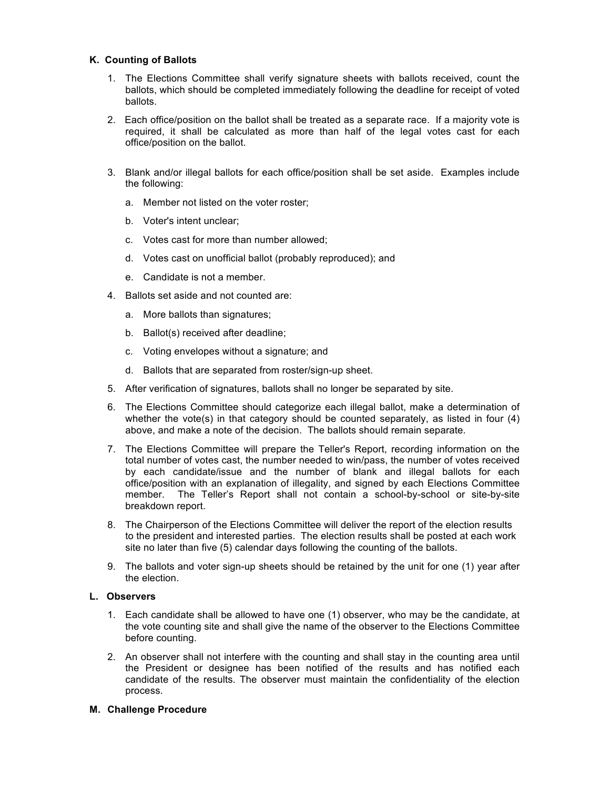# **K. Counting of Ballots**

- 1. The Elections Committee shall verify signature sheets with ballots received, count the ballots, which should be completed immediately following the deadline for receipt of voted ballots.
- 2. Each office/position on the ballot shall be treated as a separate race. If a majority vote is required, it shall be calculated as more than half of the legal votes cast for each office/position on the ballot.
- 3. Blank and/or illegal ballots for each office/position shall be set aside. Examples include the following:
	- a. Member not listed on the voter roster;
	- b. Voter's intent unclear;
	- c. Votes cast for more than number allowed;
	- d. Votes cast on unofficial ballot (probably reproduced); and
	- e. Candidate is not a member.
- 4. Ballots set aside and not counted are:
	- a. More ballots than signatures;
	- b. Ballot(s) received after deadline;
	- c. Voting envelopes without a signature; and
	- d. Ballots that are separated from roster/sign-up sheet.
- 5. After verification of signatures, ballots shall no longer be separated by site.
- 6. The Elections Committee should categorize each illegal ballot, make a determination of whether the vote(s) in that category should be counted separately, as listed in four (4) above, and make a note of the decision. The ballots should remain separate.
- 7. The Elections Committee will prepare the Teller's Report, recording information on the total number of votes cast, the number needed to win/pass, the number of votes received by each candidate/issue and the number of blank and illegal ballots for each office/position with an explanation of illegality, and signed by each Elections Committee member. The Teller's Report shall not contain a school-by-school or site-by-site breakdown report.
- 8. The Chairperson of the Elections Committee will deliver the report of the election results to the president and interested parties. The election results shall be posted at each work site no later than five (5) calendar days following the counting of the ballots.
- 9. The ballots and voter sign-up sheets should be retained by the unit for one (1) year after the election.

# **L. Observers**

- 1. Each candidate shall be allowed to have one (1) observer, who may be the candidate, at the vote counting site and shall give the name of the observer to the Elections Committee before counting.
- 2. An observer shall not interfere with the counting and shall stay in the counting area until the President or designee has been notified of the results and has notified each candidate of the results. The observer must maintain the confidentiality of the election process.

# **M. Challenge Procedure**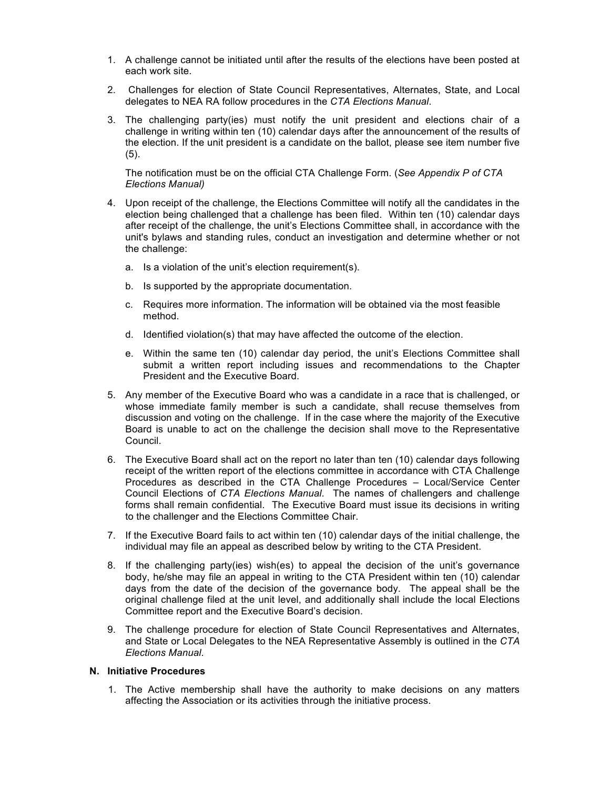- 1. A challenge cannot be initiated until after the results of the elections have been posted at each work site.
- 2. Challenges for election of State Council Representatives, Alternates, State, and Local delegates to NEA RA follow procedures in the *CTA Elections Manual*.
- 3. The challenging party(ies) must notify the unit president and elections chair of a challenge in writing within ten (10) calendar days after the announcement of the results of the election. If the unit president is a candidate on the ballot, please see item number five  $(5)$ .

The notification must be on the official CTA Challenge Form. (*See Appendix P of CTA Elections Manual)*

- 4. Upon receipt of the challenge, the Elections Committee will notify all the candidates in the election being challenged that a challenge has been filed. Within ten (10) calendar days after receipt of the challenge, the unit's Elections Committee shall, in accordance with the unit's bylaws and standing rules, conduct an investigation and determine whether or not the challenge:
	- a. Is a violation of the unit's election requirement(s).
	- b. Is supported by the appropriate documentation.
	- c. Requires more information. The information will be obtained via the most feasible method.
	- d. Identified violation(s) that may have affected the outcome of the election.
	- e. Within the same ten (10) calendar day period, the unit's Elections Committee shall submit a written report including issues and recommendations to the Chapter President and the Executive Board.
- 5. Any member of the Executive Board who was a candidate in a race that is challenged, or whose immediate family member is such a candidate, shall recuse themselves from discussion and voting on the challenge. If in the case where the majority of the Executive Board is unable to act on the challenge the decision shall move to the Representative Council.
- 6. The Executive Board shall act on the report no later than ten (10) calendar days following receipt of the written report of the elections committee in accordance with CTA Challenge Procedures as described in the CTA Challenge Procedures – Local/Service Center Council Elections of *CTA Elections Manual*. The names of challengers and challenge forms shall remain confidential. The Executive Board must issue its decisions in writing to the challenger and the Elections Committee Chair.
- 7. If the Executive Board fails to act within ten (10) calendar days of the initial challenge, the individual may file an appeal as described below by writing to the CTA President.
- 8. If the challenging party(ies) wish(es) to appeal the decision of the unit's governance body, he/she may file an appeal in writing to the CTA President within ten (10) calendar days from the date of the decision of the governance body. The appeal shall be the original challenge filed at the unit level, and additionally shall include the local Elections Committee report and the Executive Board's decision.
- 9. The challenge procedure for election of State Council Representatives and Alternates, and State or Local Delegates to the NEA Representative Assembly is outlined in the *CTA Elections Manual*.

### **N. Initiative Procedures**

1. The Active membership shall have the authority to make decisions on any matters affecting the Association or its activities through the initiative process.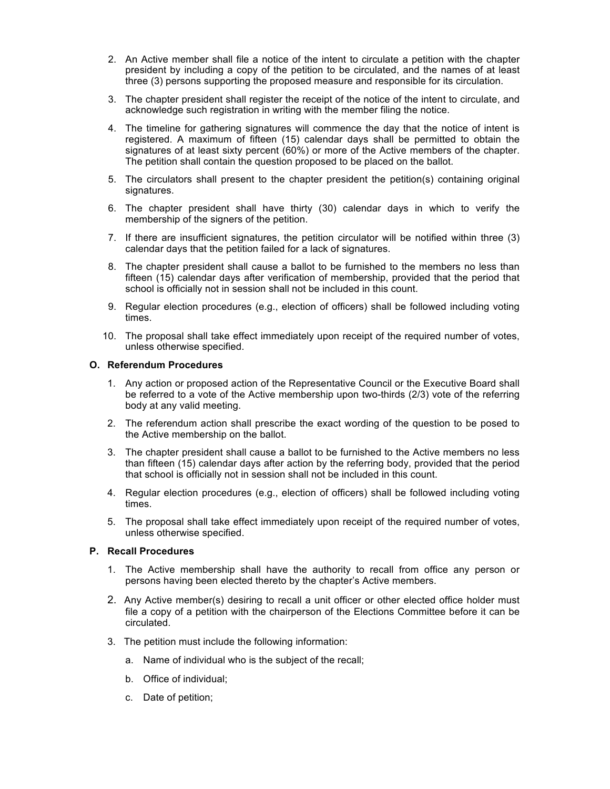- 2. An Active member shall file a notice of the intent to circulate a petition with the chapter president by including a copy of the petition to be circulated, and the names of at least three (3) persons supporting the proposed measure and responsible for its circulation.
- 3. The chapter president shall register the receipt of the notice of the intent to circulate, and acknowledge such registration in writing with the member filing the notice.
- 4. The timeline for gathering signatures will commence the day that the notice of intent is registered. A maximum of fifteen (15) calendar days shall be permitted to obtain the signatures of at least sixty percent (60%) or more of the Active members of the chapter. The petition shall contain the question proposed to be placed on the ballot.
- 5. The circulators shall present to the chapter president the petition(s) containing original signatures.
- 6. The chapter president shall have thirty (30) calendar days in which to verify the membership of the signers of the petition.
- 7. If there are insufficient signatures, the petition circulator will be notified within three (3) calendar days that the petition failed for a lack of signatures.
- 8. The chapter president shall cause a ballot to be furnished to the members no less than fifteen (15) calendar days after verification of membership, provided that the period that school is officially not in session shall not be included in this count.
- 9. Regular election procedures (e.g., election of officers) shall be followed including voting times.
- 10. The proposal shall take effect immediately upon receipt of the required number of votes, unless otherwise specified.

### **O. Referendum Procedures**

- 1. Any action or proposed action of the Representative Council or the Executive Board shall be referred to a vote of the Active membership upon two-thirds (2/3) vote of the referring body at any valid meeting.
- 2. The referendum action shall prescribe the exact wording of the question to be posed to the Active membership on the ballot.
- 3. The chapter president shall cause a ballot to be furnished to the Active members no less than fifteen (15) calendar days after action by the referring body, provided that the period that school is officially not in session shall not be included in this count.
- 4. Regular election procedures (e.g., election of officers) shall be followed including voting times.
- 5. The proposal shall take effect immediately upon receipt of the required number of votes, unless otherwise specified.

# **P. Recall Procedures**

- 1. The Active membership shall have the authority to recall from office any person or persons having been elected thereto by the chapter's Active members.
- 2. Any Active member(s) desiring to recall a unit officer or other elected office holder must file a copy of a petition with the chairperson of the Elections Committee before it can be circulated.
- 3. The petition must include the following information:
	- a. Name of individual who is the subject of the recall;
	- b. Office of individual;
	- c. Date of petition;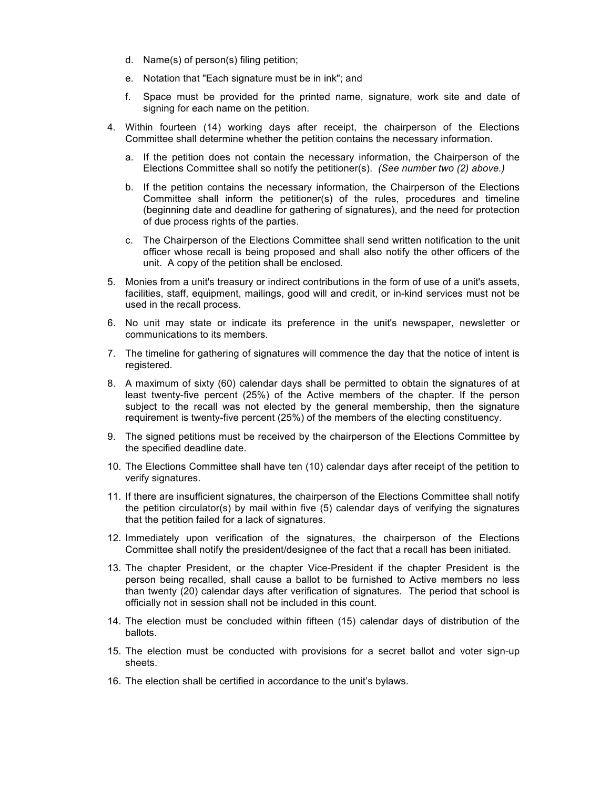- d. Name(s) of person(s) filing petition;
- e. Notation that "Each signature must be in ink"; and
- f. Space must be provided for the printed name, signature, work site and date of signing for each name on the petition.
- 4. Within fourteen (14) working days after receipt, the chairperson of the Elections Committee shall determine whether the petition contains the necessary information.
	- a. If the petition does not contain the necessary information, the Chairperson of the Elections Committee shall so notify the petitioner(s). *(See number two (2) above.)*
	- b. If the petition contains the necessary information, the Chairperson of the Elections Committee shall inform the petitioner(s) of the rules, procedures and timeline (beginning date and deadline for gathering of signatures), and the need for protection of due process rights of the parties.
	- c. The Chairperson of the Elections Committee shall send written notification to the unit officer whose recall is being proposed and shall also notify the other officers of the unit. A copy of the petition shall be enclosed.
- 5. Monies from a unit's treasury or indirect contributions in the form of use of a unit's assets, facilities, staff, equipment, mailings, good will and credit, or in-kind services must not be used in the recall process.
- 6. No unit may state or indicate its preference in the unit's newspaper, newsletter or communications to its members.
- 7. The timeline for gathering of signatures will commence the day that the notice of intent is registered.
- 8. A maximum of sixty (60) calendar days shall be permitted to obtain the signatures of at least twenty-five percent (25%) of the Active members of the chapter. If the person subject to the recall was not elected by the general membership, then the signature requirement is twenty-five percent (25%) of the members of the electing constituency.
- 9. The signed petitions must be received by the chairperson of the Elections Committee by the specified deadline date.
- 10. The Elections Committee shall have ten (10) calendar days after receipt of the petition to verify signatures.
- 11. If there are insufficient signatures, the chairperson of the Elections Committee shall notify the petition circulator(s) by mail within five (5) calendar days of verifying the signatures that the petition failed for a lack of signatures.
- 12. Immediately upon verification of the signatures, the chairperson of the Elections Committee shall notify the president/designee of the fact that a recall has been initiated.
- 13. The chapter President, or the chapter Vice-President if the chapter President is the person being recalled, shall cause a ballot to be furnished to Active members no less than twenty (20) calendar days after verification of signatures. The period that school is officially not in session shall not be included in this count.
- 14. The election must be concluded within fifteen (15) calendar days of distribution of the ballots.
- 15. The election must be conducted with provisions for a secret ballot and voter sign-up sheets.
- 16. The election shall be certified in accordance to the unit's bylaws.